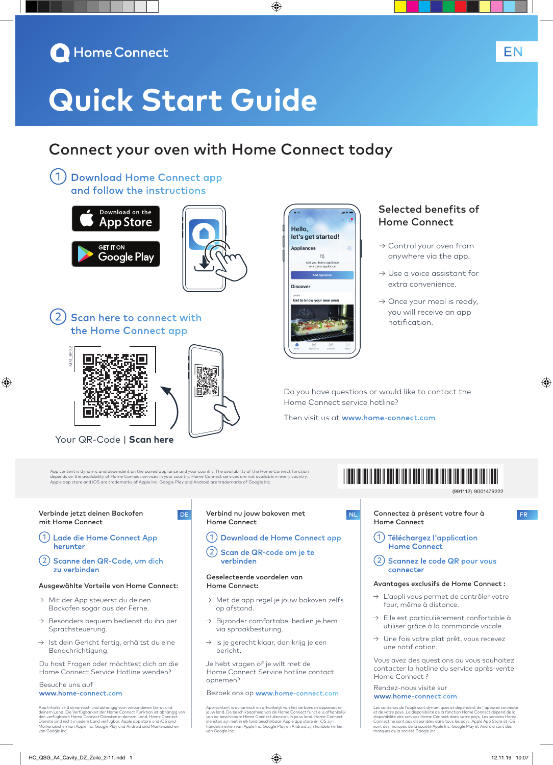

# **Quick Start Guide**

### Connect your oven with Home Connect today

◈

Hello.

**Appliances** 

**Discover** Get to know your n

let's get started!

 $\mathbb{R}$ 

①Download Home Connect app and follow the instructions





2) Scan here to connect with the Home Connect app



⊕

Your QR-Code | **Scan here**

App content is dynamic and dependent on the paired appliance and your country. The availability of the Home Connect function<br>depends on the availability of Home Connect services in your country. Home Connect services are n

اتتا ا

#### Verbinde jetzt deinen Backofen mit Home Connect

- ①Lade die Home Connect App herunter
- ②Scanne den QR-Code, um dich zu verbinden

#### Ausgewählte Vorteile von Home Connect:

- → Mit der App steuerst du deinen Backofen sogar aus der Ferne.
- → Besonders bequem bedienst du ihn per Sprachsteuerung.
- → Ist dein Gericht fertig, erhältst du eine Benachrichtigung.

Du hast Fragen oder möchtest dich an die Home Connect Service Hotline wenden?

#### Besuche uns auf www.home-connect.com

App Inhalte sind dynamisch und abhängig vom verbundenen Gerät und<br>deinem Land. Die Verfügbarkeit der Home Connect Funktion ist abhängig von<br>den verfügbaren Home Connect Diensten in deinem Land. Home Connect<br>Dienste sind ni van Kenzelenen<br>von Google Inc

#### DE Verbind nu jouw bakoven met Home Connect

- ①Download de Home Connect app
- ②Scan de QR-code om je te verbinden

#### Geselecteerde voordelen van Home Connect:

- → Met de app regel je jouw bakoven zelfs op afstand.
- Bijzonder comfortabel bedien je hem via spraakbesturing.
- → Is je gerecht klaar, dan krijg je een bericht.

Je hebt vragen of je wilt met de Home Connect Service hotline contact opnemen?

Bezoek ons op www.home-connect.com

App-content is dynamisch en afhankelijk van het verbonden apparaat en jouw land. De beschikbaarheid van de Home Connect functie is afhankelijk van de beschikbare Home Connect diensten in jouw land. Home Connect<br>diensten zijn niet in elk land beschikbaar. Apple app store en iOS zijn<br>handelsmerken van Apple Inc. Google Play en Android zijn handelsmerken van Google Inc.

### Selected benefits of Home Connect

- → Control your oven from anywhere via the app.
- → Use a voice assistant for extra convenience.
- $\rightarrow$  Once your meal is ready, you will receive an app notification.

Do you have questions or would like to contact the Home Connect service hotline?

Then visit us at www.home-connect.com

## \*9001479222\*

9001479222 (991112)

◈

NL Connectez à présent votre four à FR Home Connect

- ①Téléchargez l'application Home Connect
- ②Scannez le code QR pour vous connecter

#### Avantages exclusifs de Home Connect :

- → L'appli vous permet de contrôler votre four, même à distance.
- → Elle est particulièrement confortable à utiliser grâce à la commande vocale.
- → Une fois votre plat prêt, vous recevez une notification.

Vous avez des questions ou vous souhaitez contacter la hotline du service après-vente Home Connect ?

#### Rendez-nous visite sur www.home-connect.com

Les contenus de l'appli sont dynamiques et dépendent de l'appareil connecté<br>et de votre pays. La disponibilité de la fonction Home Connect dépend de la<br>disponibilité des services Home Connect dans votre pays. Les services des marques de la sociece A<br>ues de la société Google Inc

EN